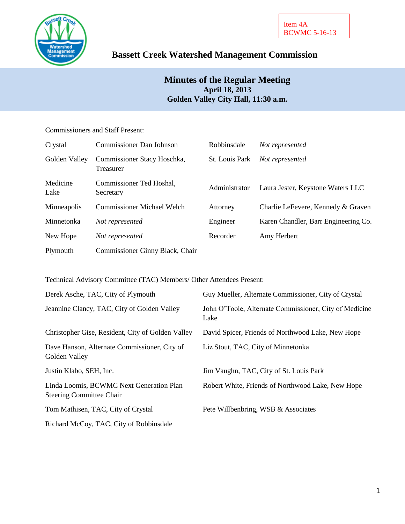

# **Bassett Creek Watershed Management Commission**

## **Minutes of the Regular Meeting April 18, 2013 Golden Valley City Hall, 11:30 a.m.**

## Commissioners and Staff Present:

| Crystal          | Commissioner Dan Johnson                 | Robbinsdale           | Not represented                      |
|------------------|------------------------------------------|-----------------------|--------------------------------------|
| Golden Valley    | Commissioner Stacy Hoschka,<br>Treasurer | <b>St.</b> Louis Park | Not represented                      |
| Medicine<br>Lake | Commissioner Ted Hoshal,<br>Secretary    | Administrator         | Laura Jester, Keystone Waters LLC    |
| Minneapolis      | <b>Commissioner Michael Welch</b>        | Attorney              | Charlie LeFevere, Kennedy & Graven   |
| Minnetonka       | Not represented                          | Engineer              | Karen Chandler, Barr Engineering Co. |
| New Hope         | Not represented                          | Recorder              | Amy Herbert                          |
| Plymouth         | Commissioner Ginny Black, Chair          |                       |                                      |

Technical Advisory Committee (TAC) Members/ Other Attendees Present:

| Derek Asche, TAC, City of Plymouth                                          | Guy Mueller, Alternate Commissioner, City of Crystal           |
|-----------------------------------------------------------------------------|----------------------------------------------------------------|
| Jeannine Clancy, TAC, City of Golden Valley                                 | John O'Toole, Alternate Commissioner, City of Medicine<br>Lake |
| Christopher Gise, Resident, City of Golden Valley                           | David Spicer, Friends of Northwood Lake, New Hope              |
| Dave Hanson, Alternate Commissioner, City of<br>Golden Valley               | Liz Stout, TAC, City of Minnetonka                             |
| Justin Klabo, SEH, Inc.                                                     | Jim Vaughn, TAC, City of St. Louis Park                        |
| Linda Loomis, BCWMC Next Generation Plan<br><b>Steering Committee Chair</b> | Robert White, Friends of Northwood Lake, New Hope              |
| Tom Mathisen, TAC, City of Crystal                                          | Pete Willbenbring, WSB & Associates                            |
| Richard McCoy, TAC, City of Robbinsdale                                     |                                                                |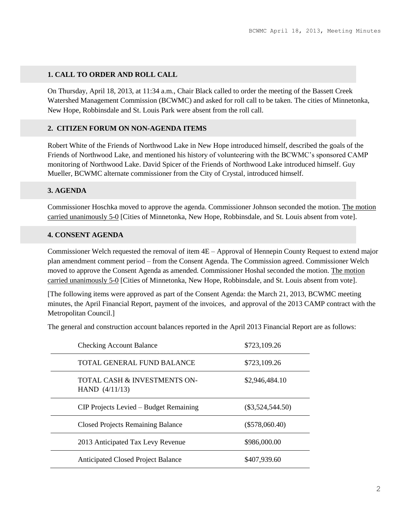## **1. CALL TO ORDER AND ROLL CALL**

On Thursday, April 18, 2013, at 11:34 a.m., Chair Black called to order the meeting of the Bassett Creek Watershed Management Commission (BCWMC) and asked for roll call to be taken. The cities of Minnetonka, New Hope, Robbinsdale and St. Louis Park were absent from the roll call.

### **2. CITIZEN FORUM ON NON-AGENDA ITEMS**

Robert White of the Friends of Northwood Lake in New Hope introduced himself, described the goals of the Friends of Northwood Lake, and mentioned his history of volunteering with the BCWMC's sponsored CAMP monitoring of Northwood Lake. David Spicer of the Friends of Northwood Lake introduced himself. Guy Mueller, BCWMC alternate commissioner from the City of Crystal, introduced himself.

#### **3. AGENDA**

Commissioner Hoschka moved to approve the agenda. Commissioner Johnson seconded the motion. The motion carried unanimously 5-0 [Cities of Minnetonka, New Hope, Robbinsdale, and St. Louis absent from vote].

#### **4. CONSENT AGENDA**

Commissioner Welch requested the removal of item 4E – Approval of Hennepin County Request to extend major plan amendment comment period – from the Consent Agenda. The Commission agreed. Commissioner Welch moved to approve the Consent Agenda as amended. Commissioner Hoshal seconded the motion. The motion carried unanimously 5-0 [Cities of Minnetonka, New Hope, Robbinsdale, and St. Louis absent from vote].

[The following items were approved as part of the Consent Agenda: the March 21, 2013, BCWMC meeting minutes, the April Financial Report, payment of the invoices, and approval of the 2013 CAMP contract with the Metropolitan Council.]

The general and construction account balances reported in the April 2013 Financial Report are as follows:

| <b>Checking Account Balance</b>                  | \$723,109.26       |
|--------------------------------------------------|--------------------|
| TOTAL GENERAL FUND BALANCE                       | \$723,109.26       |
| TOTAL CASH & INVESTMENTS ON-<br>HAND $(4/11/13)$ | \$2,946,484.10     |
| CIP Projects Levied – Budget Remaining           | $(\$3,524,544.50)$ |
| <b>Closed Projects Remaining Balance</b>         | $(\$578,060.40)$   |
| 2013 Anticipated Tax Levy Revenue                | \$986,000.00       |
| <b>Anticipated Closed Project Balance</b>        | \$407,939.60       |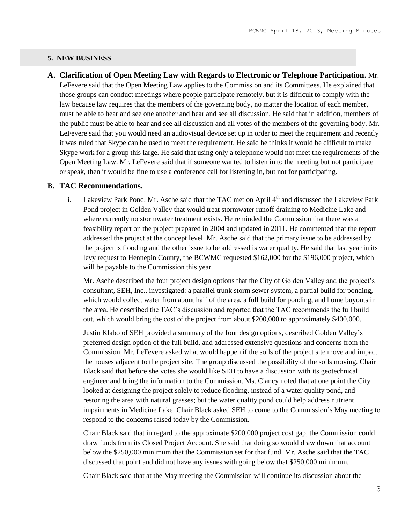#### **5. NEW BUSINESS**

**A. Clarification of Open Meeting Law with Regards to Electronic or Telephone Participation.** Mr. LeFevere said that the Open Meeting Law applies to the Commission and its Committees. He explained that those groups can conduct meetings where people participate remotely, but it is difficult to comply with the law because law requires that the members of the governing body, no matter the location of each member, must be able to hear and see one another and hear and see all discussion. He said that in addition, members of the public must be able to hear and see all discussion and all votes of the members of the governing body. Mr. LeFevere said that you would need an audiovisual device set up in order to meet the requirement and recently it was ruled that Skype can be used to meet the requirement. He said he thinks it would be difficult to make Skype work for a group this large. He said that using only a telephone would not meet the requirements of the Open Meeting Law. Mr. LeFevere said that if someone wanted to listen in to the meeting but not participate or speak, then it would be fine to use a conference call for listening in, but not for participating.

#### **B. TAC Recommendations.**

i. Lakeview Park Pond. Mr. Asche said that the TAC met on April  $4<sup>th</sup>$  and discussed the Lakeview Park Pond project in Golden Valley that would treat stormwater runoff draining to Medicine Lake and where currently no stormwater treatment exists. He reminded the Commission that there was a feasibility report on the project prepared in 2004 and updated in 2011. He commented that the report addressed the project at the concept level. Mr. Asche said that the primary issue to be addressed by the project is flooding and the other issue to be addressed is water quality. He said that last year in its levy request to Hennepin County, the BCWMC requested \$162,000 for the \$196,000 project, which will be payable to the Commission this year.

Mr. Asche described the four project design options that the City of Golden Valley and the project's consultant, SEH, Inc., investigated: a parallel trunk storm sewer system, a partial build for ponding, which would collect water from about half of the area, a full build for ponding, and home buyouts in the area. He described the TAC's discussion and reported that the TAC recommends the full build out, which would bring the cost of the project from about \$200,000 to approximately \$400,000.

Justin Klabo of SEH provided a summary of the four design options, described Golden Valley's preferred design option of the full build, and addressed extensive questions and concerns from the Commission. Mr. LeFevere asked what would happen if the soils of the project site move and impact the houses adjacent to the project site. The group discussed the possibility of the soils moving. Chair Black said that before she votes she would like SEH to have a discussion with its geotechnical engineer and bring the information to the Commission. Ms. Clancy noted that at one point the City looked at designing the project solely to reduce flooding, instead of a water quality pond, and restoring the area with natural grasses; but the water quality pond could help address nutrient impairments in Medicine Lake. Chair Black asked SEH to come to the Commission's May meeting to respond to the concerns raised today by the Commission.

Chair Black said that in regard to the approximate \$200,000 project cost gap, the Commission could draw funds from its Closed Project Account. She said that doing so would draw down that account below the \$250,000 minimum that the Commission set for that fund. Mr. Asche said that the TAC discussed that point and did not have any issues with going below that \$250,000 minimum.

Chair Black said that at the May meeting the Commission will continue its discussion about the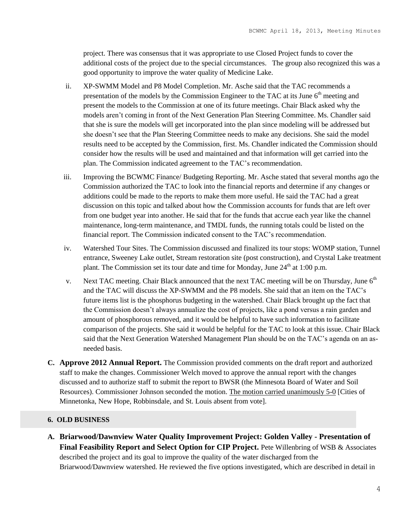project. There was consensus that it was appropriate to use Closed Project funds to cover the additional costs of the project due to the special circumstances. The group also recognized this was a good opportunity to improve the water quality of Medicine Lake.

- ii. XP-SWMM Model and P8 Model Completion. Mr. Asche said that the TAC recommends a presentation of the models by the Commission Engineer to the TAC at its June 6<sup>th</sup> meeting and present the models to the Commission at one of its future meetings. Chair Black asked why the models aren't coming in front of the Next Generation Plan Steering Committee. Ms. Chandler said that she is sure the models will get incorporated into the plan since modeling will be addressed but she doesn't see that the Plan Steering Committee needs to make any decisions. She said the model results need to be accepted by the Commission, first. Ms. Chandler indicated the Commission should consider how the results will be used and maintained and that information will get carried into the plan. The Commission indicated agreement to the TAC's recommendation.
- iii. Improving the BCWMC Finance/ Budgeting Reporting. Mr. Asche stated that several months ago the Commission authorized the TAC to look into the financial reports and determine if any changes or additions could be made to the reports to make them more useful. He said the TAC had a great discussion on this topic and talked about how the Commission accounts for funds that are left over from one budget year into another. He said that for the funds that accrue each year like the channel maintenance, long-term maintenance, and TMDL funds, the running totals could be listed on the financial report. The Commission indicated consent to the TAC's recommendation.
- iv. Watershed Tour Sites. The Commission discussed and finalized its tour stops: WOMP station, Tunnel entrance, Sweeney Lake outlet, Stream restoration site (post construction), and Crystal Lake treatment plant. The Commission set its tour date and time for Monday, June  $24<sup>th</sup>$  at 1:00 p.m.
- v. Next TAC meeting. Chair Black announced that the next TAC meeting will be on Thursday, June  $6<sup>th</sup>$ and the TAC will discuss the XP-SWMM and the P8 models. She said that an item on the TAC's future items list is the phosphorus budgeting in the watershed. Chair Black brought up the fact that the Commission doesn't always annualize the cost of projects, like a pond versus a rain garden and amount of phosphorous removed, and it would be helpful to have such information to facilitate comparison of the projects. She said it would be helpful for the TAC to look at this issue. Chair Black said that the Next Generation Watershed Management Plan should be on the TAC's agenda on an asneeded basis.
- **C. Approve 2012 Annual Report.** The Commission provided comments on the draft report and authorized staff to make the changes. Commissioner Welch moved to approve the annual report with the changes discussed and to authorize staff to submit the report to BWSR (the Minnesota Board of Water and Soil Resources). Commissioner Johnson seconded the motion. The motion carried unanimously 5-0 [Cities of Minnetonka, New Hope, Robbinsdale, and St. Louis absent from vote].

### **6. OLD BUSINESS**

**A. Briarwood/Dawnview Water Quality Improvement Project: Golden Valley - Presentation of Final Feasibility Report and Select Option for CIP Project.** Pete Willenbring of WSB & Associates described the project and its goal to improve the quality of the water discharged from the Briarwood/Dawnview watershed. He reviewed the five options investigated, which are described in detail in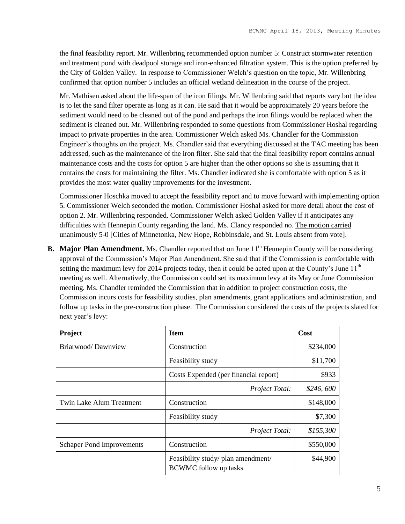the final feasibility report. Mr. Willenbring recommended option number 5: Construct stormwater retention and treatment pond with deadpool storage and iron-enhanced filtration system. This is the option preferred by the City of Golden Valley. In response to Commissioner Welch's question on the topic, Mr. Willenbring confirmed that option number 5 includes an official wetland delineation in the course of the project.

Mr. Mathisen asked about the life-span of the iron filings. Mr. Willenbring said that reports vary but the idea is to let the sand filter operate as long as it can. He said that it would be approximately 20 years before the sediment would need to be cleaned out of the pond and perhaps the iron filings would be replaced when the sediment is cleaned out. Mr. Willenbring responded to some questions from Commissioner Hoshal regarding impact to private properties in the area. Commissioner Welch asked Ms. Chandler for the Commission Engineer's thoughts on the project. Ms. Chandler said that everything discussed at the TAC meeting has been addressed, such as the maintenance of the iron filter. She said that the final feasibility report contains annual maintenance costs and the costs for option 5 are higher than the other options so she is assuming that it contains the costs for maintaining the filter. Ms. Chandler indicated she is comfortable with option 5 as it provides the most water quality improvements for the investment.

Commissioner Hoschka moved to accept the feasibility report and to move forward with implementing option 5. Commissioner Welch seconded the motion. Commissioner Hoshal asked for more detail about the cost of option 2. Mr. Willenbring responded. Commissioner Welch asked Golden Valley if it anticipates any difficulties with Hennepin County regarding the land. Ms. Clancy responded no. The motion carried unanimously 5-0 [Cities of Minnetonka, New Hope, Robbinsdale, and St. Louis absent from vote].

**B.** Major Plan Amendment. Ms. Chandler reported that on June 11<sup>th</sup> Hennepin County will be considering approval of the Commission's Major Plan Amendment. She said that if the Commission is comfortable with setting the maximum levy for 2014 projects today, then it could be acted upon at the County's June  $11<sup>th</sup>$ meeting as well. Alternatively, the Commission could set its maximum levy at its May or June Commission meeting. Ms. Chandler reminded the Commission that in addition to project construction costs, the Commission incurs costs for feasibility studies, plan amendments, grant applications and administration, and follow up tasks in the pre-construction phase. The Commission considered the costs of the projects slated for next year's levy:

| Project                          | <b>Item</b>                                                        | Cost       |
|----------------------------------|--------------------------------------------------------------------|------------|
| Briarwood/Dawnview               | Construction                                                       | \$234,000  |
|                                  | Feasibility study                                                  | \$11,700   |
|                                  | Costs Expended (per financial report)                              |            |
|                                  | Project Total:                                                     | \$246, 600 |
| Twin Lake Alum Treatment         | Construction                                                       | \$148,000  |
|                                  | Feasibility study                                                  | \$7,300    |
|                                  | Project Total:                                                     | \$155,300  |
| <b>Schaper Pond Improvements</b> | Construction                                                       | \$550,000  |
|                                  | Feasibility study/ plan amendment/<br><b>BCWMC</b> follow up tasks | \$44,900   |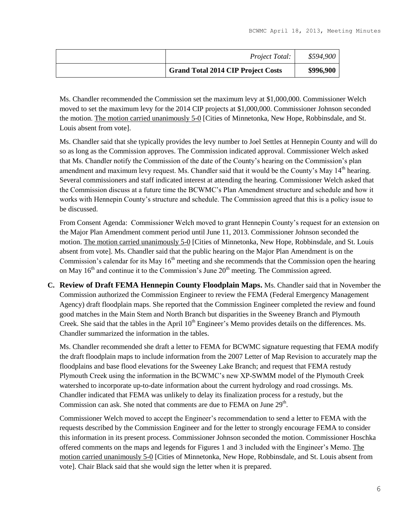| Project Total:                            | \$594,900 |
|-------------------------------------------|-----------|
| <b>Grand Total 2014 CIP Project Costs</b> | \$996,900 |

Ms. Chandler recommended the Commission set the maximum levy at \$1,000,000. Commissioner Welch moved to set the maximum levy for the 2014 CIP projects at \$1,000,000. Commissioner Johnson seconded the motion. The motion carried unanimously 5-0 [Cities of Minnetonka, New Hope, Robbinsdale, and St. Louis absent from vote].

Ms. Chandler said that she typically provides the levy number to Joel Settles at Hennepin County and will do so as long as the Commission approves. The Commission indicated approval. Commissioner Welch asked that Ms. Chandler notify the Commission of the date of the County's hearing on the Commission's plan amendment and maximum levy request. Ms. Chandler said that it would be the County's May  $14<sup>th</sup>$  hearing. Several commissioners and staff indicated interest at attending the hearing. Commissioner Welch asked that the Commission discuss at a future time the BCWMC's Plan Amendment structure and schedule and how it works with Hennepin County's structure and schedule. The Commission agreed that this is a policy issue to be discussed.

From Consent Agenda: Commissioner Welch moved to grant Hennepin County's request for an extension on the Major Plan Amendment comment period until June 11, 2013. Commissioner Johnson seconded the motion. The motion carried unanimously 5-0 [Cities of Minnetonka, New Hope, Robbinsdale, and St. Louis absent from vote]. Ms. Chandler said that the public hearing on the Major Plan Amendment is on the Commission's calendar for its May  $16<sup>th</sup>$  meeting and she recommends that the Commission open the hearing on May  $16<sup>th</sup>$  and continue it to the Commission's June  $20<sup>th</sup>$  meeting. The Commission agreed.

**C. Review of Draft FEMA Hennepin County Floodplain Maps.** Ms. Chandler said that in November the Commission authorized the Commission Engineer to review the FEMA (Federal Emergency Management Agency) draft floodplain maps. She reported that the Commission Engineer completed the review and found good matches in the Main Stem and North Branch but disparities in the Sweeney Branch and Plymouth Creek. She said that the tables in the April 10<sup>th</sup> Engineer's Memo provides details on the differences. Ms. Chandler summarized the information in the tables.

Ms. Chandler recommended she draft a letter to FEMA for BCWMC signature requesting that FEMA modify the draft floodplain maps to include information from the 2007 Letter of Map Revision to accurately map the floodplains and base flood elevations for the Sweeney Lake Branch; and request that FEMA restudy Plymouth Creek using the information in the BCWMC's new XP-SWMM model of the Plymouth Creek watershed to incorporate up-to-date information about the current hydrology and road crossings. Ms. Chandler indicated that FEMA was unlikely to delay its finalization process for a restudy, but the Commission can ask. She noted that comments are due to FEMA on June  $29<sup>th</sup>$ .

Commissioner Welch moved to accept the Engineer's recommendation to send a letter to FEMA with the requests described by the Commission Engineer and for the letter to strongly encourage FEMA to consider this information in its present process. Commissioner Johnson seconded the motion. Commissioner Hoschka offered comments on the maps and legends for Figures 1 and 3 included with the Engineer's Memo. The motion carried unanimously 5-0 [Cities of Minnetonka, New Hope, Robbinsdale, and St. Louis absent from vote]. Chair Black said that she would sign the letter when it is prepared.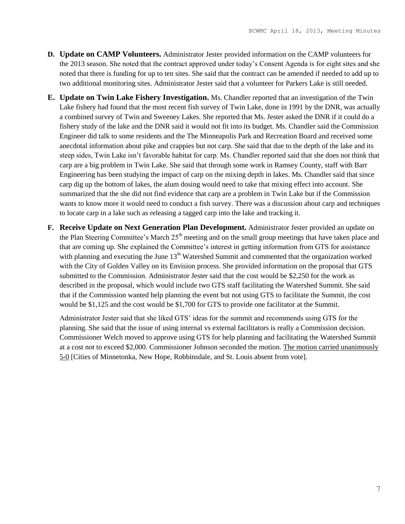- **D. Update on CAMP Volunteers.** Administrator Jester provided information on the CAMP volunteers for the 2013 season. She noted that the contract approved under today's Consent Agenda is for eight sites and she noted that there is funding for up to ten sites. She said that the contract can be amended if needed to add up to two additional monitoring sites. Administrator Jester said that a volunteer for Parkers Lake is still needed.
- **E. Update on Twin Lake Fishery Investigation.** Ms. Chandler reported that an investigation of the Twin Lake fishery had found that the most recent fish survey of Twin Lake, done in 1991 by the DNR, was actually a combined survey of Twin and Sweeney Lakes. She reported that Ms. Jester asked the DNR if it could do a fishery study of the lake and the DNR said it would not fit into its budget. Ms. Chandler said the Commission Engineer did talk to some residents and the The Minneapolis Park and Recreation Board and received some anecdotal information about pike and crappies but not carp. She said that due to the depth of the lake and its steep sides, Twin Lake isn't favorable habitat for carp. Ms. Chandler reported said that she does not think that carp are a big problem in Twin Lake. She said that through some work in Ramsey County, staff with Barr Engineering has been studying the impact of carp on the mixing depth in lakes. Ms. Chandler said that since carp dig up the bottom of lakes, the alum dosing would need to take that mixing effect into account. She summarized that the she did not find evidence that carp are a problem in Twin Lake but if the Commission wants to know more it would need to conduct a fish survey. There was a discussion about carp and techniques to locate carp in a lake such as releasing a tagged carp into the lake and tracking it.
- **F. Receive Update on Next Generation Plan Development.** Administrator Jester provided an update on the Plan Steering Committee's March 25<sup>th</sup> meeting and on the small group meetings that have taken place and that are coming up. She explained the Committee's interest in getting information from GTS for assistance with planning and executing the June  $13<sup>th</sup>$  Watershed Summit and commented that the organization worked with the City of Golden Valley on its Envision process. She provided information on the proposal that GTS submitted to the Commission. Administrator Jester said that the cost would be \$2,250 for the work as described in the proposal, which would include two GTS staff facilitating the Watershed Summit. She said that if the Commission wanted help planning the event but not using GTS to facilitate the Summit, the cost would be \$1,125 and the cost would be \$1,700 for GTS to provide one facilitator at the Summit.

Administrator Jester said that she liked GTS' ideas for the summit and recommends using GTS for the planning. She said that the issue of using internal vs external facilitators is really a Commission decision. Commissioner Welch moved to approve using GTS for help planning and facilitating the Watershed Summit at a cost not to exceed \$2,000. Commissioner Johnson seconded the motion. The motion carried unanimously 5-0 [Cities of Minnetonka, New Hope, Robbinsdale, and St. Louis absent from vote].